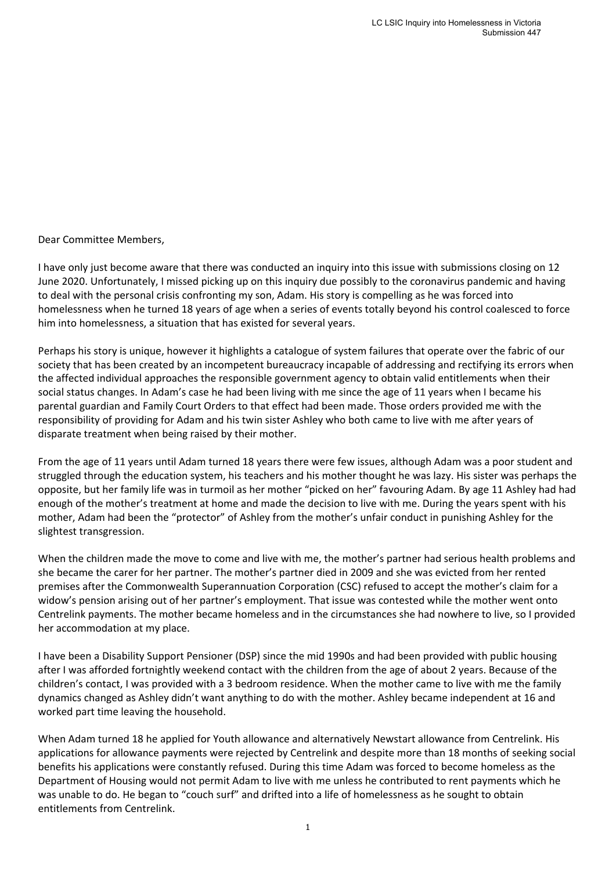Dear Committee Members,

I have only just become aware that there was conducted an inquiry into this issue with submissions closing on 12 June 2020. Unfortunately, I missed picking up on this inquiry due possibly to the coronavirus pandemic and having to deal with the personal crisis confronting my son, Adam. His story is compelling as he was forced into homelessness when he turned 18 years of age when a series of events totally beyond his control coalesced to force him into homelessness, a situation that has existed for several years.

Perhaps his story is unique, however it highlights a catalogue of system failures that operate over the fabric of our society that has been created by an incompetent bureaucracy incapable of addressing and rectifying its errors when the affected individual approaches the responsible government agency to obtain valid entitlements when their social status changes. In Adam's case he had been living with me since the age of 11 years when I became his parental guardian and Family Court Orders to that effect had been made. Those orders provided me with the responsibility of providing for Adam and his twin sister Ashley who both came to live with me after years of disparate treatment when being raised by their mother.

From the age of 11 years until Adam turned 18 years there were few issues, although Adam was a poor student and struggled through the education system, his teachers and his mother thought he was lazy. His sister was perhaps the opposite, but her family life was in turmoil as her mother "picked on her" favouring Adam. By age 11 Ashley had had enough of the mother's treatment at home and made the decision to live with me. During the years spent with his mother, Adam had been the "protector" of Ashley from the mother's unfair conduct in punishing Ashley for the slightest transgression.

When the children made the move to come and live with me, the mother's partner had serious health problems and she became the carer for her partner. The mother's partner died in 2009 and she was evicted from her rented premises after the Commonwealth Superannuation Corporation (CSC) refused to accept the mother's claim for a widow's pension arising out of her partner's employment. That issue was contested while the mother went onto Centrelink payments. The mother became homeless and in the circumstances she had nowhere to live, so I provided her accommodation at my place.

I have been a Disability Support Pensioner (DSP) since the mid 1990s and had been provided with public housing after I was afforded fortnightly weekend contact with the children from the age of about 2 years. Because of the children's contact, I was provided with a 3 bedroom residence. When the mother came to live with me the family dynamics changed as Ashley didn't want anything to do with the mother. Ashley became independent at 16 and worked part time leaving the household.

When Adam turned 18 he applied for Youth allowance and alternatively Newstart allowance from Centrelink. His applications for allowance payments were rejected by Centrelink and despite more than 18 months of seeking social benefits his applications were constantly refused. During this time Adam was forced to become homeless as the Department of Housing would not permit Adam to live with me unless he contributed to rent payments which he was unable to do. He began to "couch surf" and drifted into a life of homelessness as he sought to obtain entitlements from Centrelink.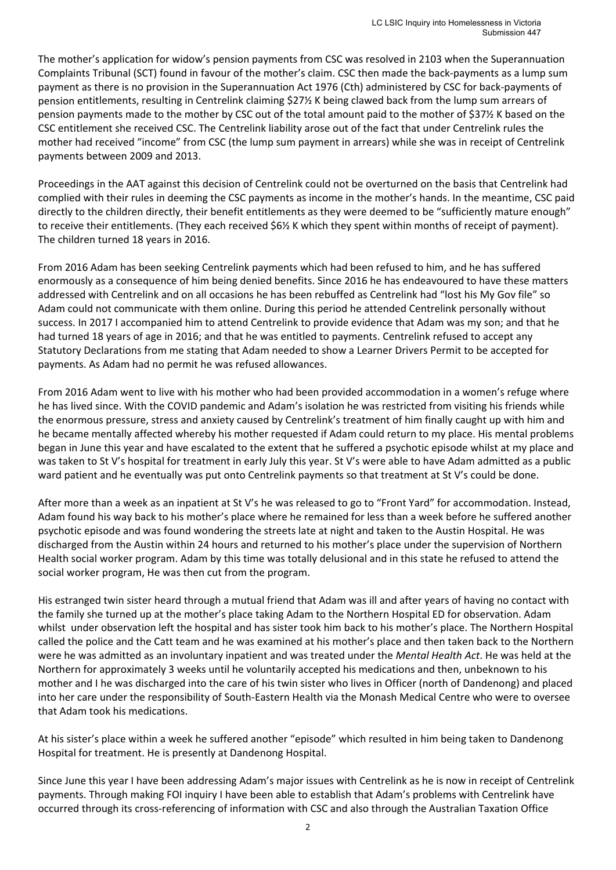The mother's application for widow's pension payments from CSC was resolved in 2103 when the Superannuation Complaints Tribunal (SCT) found in favour of the mother's claim. CSC then made the back‐payments as a lump sum payment as there is no provision in the Superannuation Act 1976 (Cth) administered by CSC for back‐payments of pension entitlements, resulting in Centrelink claiming \$27½ K being clawed back from the lump sum arrears of pension payments made to the mother by CSC out of the total amount paid to the mother of \$37½ K based on the CSC entitlement she received CSC. The Centrelink liability arose out of the fact that under Centrelink rules the mother had received "income" from CSC (the lump sum payment in arrears) while she was in receipt of Centrelink payments between 2009 and 2013.

Proceedings in the AAT against this decision of Centrelink could not be overturned on the basis that Centrelink had complied with their rules in deeming the CSC payments as income in the mother's hands. In the meantime, CSC paid directly to the children directly, their benefit entitlements as they were deemed to be "sufficiently mature enough" to receive their entitlements. (They each received \$6½ K which they spent within months of receipt of payment). The children turned 18 years in 2016.

From 2016 Adam has been seeking Centrelink payments which had been refused to him, and he has suffered enormously as a consequence of him being denied benefits. Since 2016 he has endeavoured to have these matters addressed with Centrelink and on all occasions he has been rebuffed as Centrelink had "lost his My Gov file" so Adam could not communicate with them online. During this period he attended Centrelink personally without success. In 2017 I accompanied him to attend Centrelink to provide evidence that Adam was my son; and that he had turned 18 years of age in 2016; and that he was entitled to payments. Centrelink refused to accept any Statutory Declarations from me stating that Adam needed to show a Learner Drivers Permit to be accepted for payments. As Adam had no permit he was refused allowances.

From 2016 Adam went to live with his mother who had been provided accommodation in a women's refuge where he has lived since. With the COVID pandemic and Adam's isolation he was restricted from visiting his friends while the enormous pressure, stress and anxiety caused by Centrelink's treatment of him finally caught up with him and he became mentally affected whereby his mother requested if Adam could return to my place. His mental problems began in June this year and have escalated to the extent that he suffered a psychotic episode whilst at my place and was taken to St V's hospital for treatment in early July this year. St V's were able to have Adam admitted as a public ward patient and he eventually was put onto Centrelink payments so that treatment at St V's could be done.

After more than a week as an inpatient at St V's he was released to go to "Front Yard" for accommodation. Instead, Adam found his way back to his mother's place where he remained for less than a week before he suffered another psychotic episode and was found wondering the streets late at night and taken to the Austin Hospital. He was discharged from the Austin within 24 hours and returned to his mother's place under the supervision of Northern Health social worker program. Adam by this time was totally delusional and in this state he refused to attend the social worker program, He was then cut from the program.

His estranged twin sister heard through a mutual friend that Adam was ill and after years of having no contact with the family she turned up at the mother's place taking Adam to the Northern Hospital ED for observation. Adam whilst under observation left the hospital and has sister took him back to his mother's place. The Northern Hospital called the police and the Catt team and he was examined at his mother's place and then taken back to the Northern were he was admitted as an involuntary inpatient and was treated under the *Mental Health Act*. He was held at the Northern for approximately 3 weeks until he voluntarily accepted his medications and then, unbeknown to his mother and I he was discharged into the care of his twin sister who lives in Officer (north of Dandenong) and placed into her care under the responsibility of South‐Eastern Health via the Monash Medical Centre who were to oversee that Adam took his medications.

At his sister's place within a week he suffered another "episode" which resulted in him being taken to Dandenong Hospital for treatment. He is presently at Dandenong Hospital.

Since June this year I have been addressing Adam's major issues with Centrelink as he is now in receipt of Centrelink payments. Through making FOI inquiry I have been able to establish that Adam's problems with Centrelink have occurred through its cross‐referencing of information with CSC and also through the Australian Taxation Office